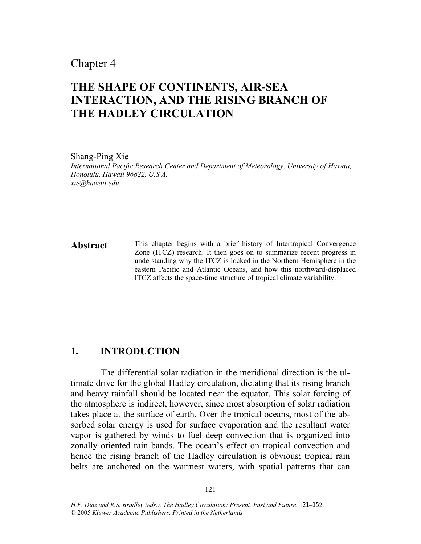## Chapter 4

# **THE SHAPE OF CONTINENTS, AIR-SEA INTERACTION, AND THE RISING BRANCH OF THE HADLEY CIRCULATION**

Shang-Ping Xie

*International Pacific Research Center and Department of Meteorology, University of Hawaii, Honolulu, Hawaii 96822, U.S.A. xie@hawaii.edu* 

**Abstract** This chapter begins with a brief history of Intertropical Convergence Zone (ITCZ) research. It then goes on to summarize recent progress in understanding why the ITCZ is locked in the Northern Hemisphere in the eastern Pacific and Atlantic Oceans, and how this northward-displaced ITCZ affects the space-time structure of tropical climate variability.

### **1. INTRODUCTION**

The differential solar radiation in the meridional direction is the ultimate drive for the global Hadley circulation, dictating that its rising branch and heavy rainfall should be located near the equator. This solar forcing of the atmosphere is indirect, however, since most absorption of solar radiation takes place at the surface of earth. Over the tropical oceans, most of the absorbed solar energy is used for surface evaporation and the resultant water vapor is gathered by winds to fuel deep convection that is organized into zonally oriented rain bands. The ocean's effect on tropical convection and hence the rising branch of the Hadley circulation is obvious; tropical rain belts are anchored on the warmest waters, with spatial patterns that can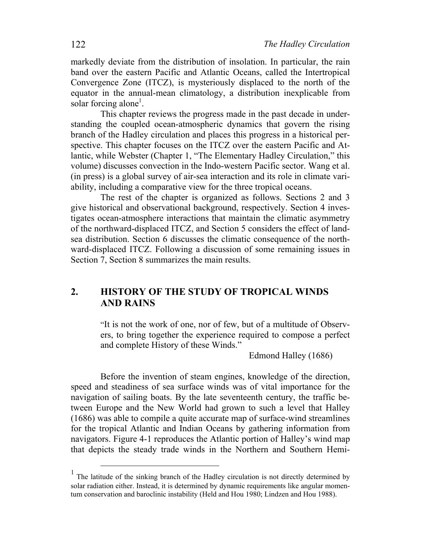markedly deviate from the distribution of insolation. In particular, the rain band over the eastern Pacific and Atlantic Oceans, called the Intertropical Convergence Zone (ITCZ), is mysteriously displaced to the north of the equator in the annual-mean climatology, a distribution inexplicable from solar forcing alone<sup>1</sup>.

This chapter reviews the progress made in the past decade in understanding the coupled ocean-atmospheric dynamics that govern the rising branch of the Hadley circulation and places this progress in a historical perspective. This chapter focuses on the ITCZ over the eastern Pacific and Atlantic, while Webster (Chapter 1, "The Elementary Hadley Circulation," this volume) discusses convection in the Indo-western Pacific sector. Wang et al. (in press) is a global survey of air-sea interaction and its role in climate variability, including a comparative view for the three tropical oceans.

The rest of the chapter is organized as follows. Sections 2 and 3 give historical and observational background, respectively. Section 4 investigates ocean-atmosphere interactions that maintain the climatic asymmetry of the northward-displaced ITCZ, and Section 5 considers the effect of landsea distribution. Section 6 discusses the climatic consequence of the northward-displaced ITCZ. Following a discussion of some remaining issues in Section 7, Section 8 summarizes the main results.

# **2. HISTORY OF THE STUDY OF TROPICAL WINDS AND RAINS**

"It is not the work of one, nor of few, but of a multitude of Observers, to bring together the experience required to compose a perfect and complete History of these Winds."

Edmond Halley (1686)

Before the invention of steam engines, knowledge of the direction, speed and steadiness of sea surface winds was of vital importance for the navigation of sailing boats. By the late seventeenth century, the traffic between Europe and the New World had grown to such a level that Halley (1686) was able to compile a quite accurate map of surface-wind streamlines for the tropical Atlantic and Indian Oceans by gathering information from navigators. Figure 4-1 reproduces the Atlantic portion of Halley's wind map that depicts the steady trade winds in the Northern and Southern Hemi-

 $1$  The latitude of the sinking branch of the Hadley circulation is not directly determined by solar radiation either. Instead, it is determined by dynamic requirements like angular momentum conservation and baroclinic instability (Held and Hou 1980; Lindzen and Hou 1988).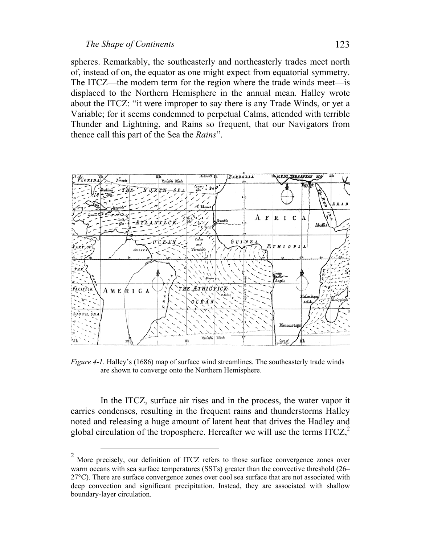spheres. Remarkably, the southeasterly and northeasterly trades meet north of, instead of on, the equator as one might expect from equatorial symmetry. The ITCZ—the modern term for the region where the trade winds meet—is displaced to the Northern Hemisphere in the annual mean. Halley wrote about the ITCZ: "it were improper to say there is any Trade Winds, or yet a Variable; for it seems condemned to perpetual Calms, attended with terrible Thunder and Lightning, and Rains so frequent, that our Navigators from thence call this part of the Sea the *Rains*".



*Figure 4-1.* Halley's (1686) map of surface wind streamlines. The southeasterly trade winds are shown to converge onto the Northern Hemisphere.

In the ITCZ, surface air rises and in the process, the water vapor it carries condenses, resulting in the frequent rains and thunderstorms Halley noted and releasing a huge amount of latent heat that drives the Hadley and global circulation of the troposphere. Hereafter we will use the terms  $ITCZ$ <sup>2</sup>

<sup>&</sup>lt;sup>2</sup> More precisely, our definition of ITCZ refers to those surface convergence zones over warm oceans with sea surface temperatures (SSTs) greater than the convective threshold (26–  $27^{\circ}$ C). There are surface convergence zones over cool sea surface that are not associated with deep convection and significant precipitation. Instead, they are associated with shallow boundary-layer circulation.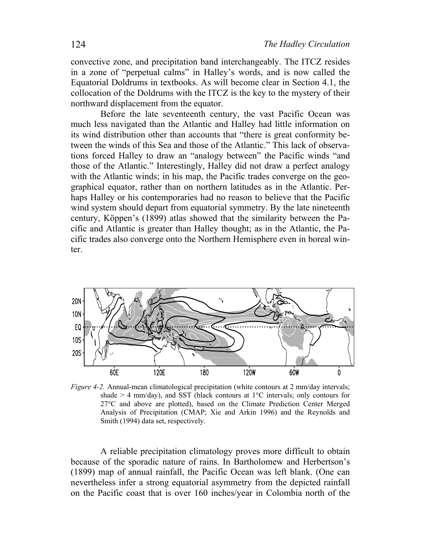convective zone, and precipitation band interchangeably. The ITCZ resides in a zone of "perpetual calms" in Halley's words, and is now called the Equatorial Doldrums in textbooks. As will become clear in Section 4.1, the collocation of the Doldrums with the ITCZ is the key to the mystery of their northward displacement from the equator.

Before the late seventeenth century, the vast Pacific Ocean was much less navigated than the Atlantic and Halley had little information on its wind distribution other than accounts that "there is great conformity between the winds of this Sea and those of the Atlantic." This lack of observations forced Halley to draw an "analogy between" the Pacific winds "and those of the Atlantic." Interestingly, Halley did not draw a perfect analogy with the Atlantic winds; in his map, the Pacific trades converge on the geographical equator, rather than on northern latitudes as in the Atlantic. Perhaps Halley or his contemporaries had no reason to believe that the Pacific wind system should depart from equatorial symmetry. By the late nineteenth century, Köppen's (1899) atlas showed that the similarity between the Pacific and Atlantic is greater than Halley thought; as in the Atlantic, the Pacific trades also converge onto the Northern Hemisphere even in boreal winter.



*Figure 4-2.* Annual-mean climatological precipitation (white contours at 2 mm/day intervals; shade  $> 4$  mm/day), and SST (black contours at  $1^{\circ}$ C intervals; only contours for 27°C and above are plotted), based on the Climate Prediction Center Merged Analysis of Precipitation (CMAP; Xie and Arkin 1996) and the Reynolds and Smith (1994) data set, respectively.

A reliable precipitation climatology proves more difficult to obtain because of the sporadic nature of rains. In Bartholomew and Herbertson's (1899) map of annual rainfall, the Pacific Ocean was left blank. (One can nevertheless infer a strong equatorial asymmetry from the depicted rainfall on the Pacific coast that is over 160 inches/year in Colombia north of the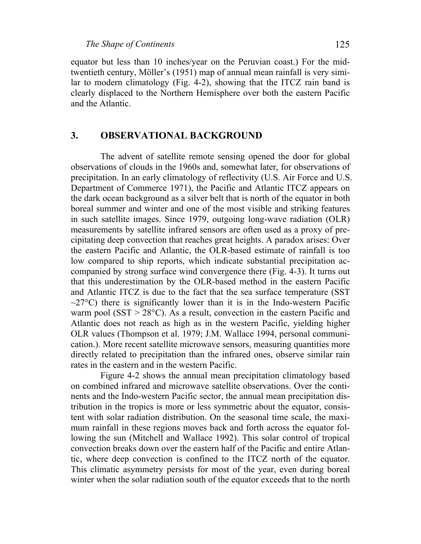equator but less than 10 inches/year on the Peruvian coast.) For the midtwentieth century, Möller's (1951) map of annual mean rainfall is very similar to modern climatology (Fig. 4-2), showing that the ITCZ rain band is clearly displaced to the Northern Hemisphere over both the eastern Pacific and the Atlantic.

### **3. OBSERVATIONAL BACKGROUND**

The advent of satellite remote sensing opened the door for global observations of clouds in the 1960s and, somewhat later, for observations of precipitation. In an early climatology of reflectivity (U.S. Air Force and U.S. Department of Commerce 1971), the Pacific and Atlantic ITCZ appears on the dark ocean background as a silver belt that is north of the equator in both boreal summer and winter and one of the most visible and striking features in such satellite images. Since 1979, outgoing long-wave radiation (OLR) measurements by satellite infrared sensors are often used as a proxy of precipitating deep convection that reaches great heights. A paradox arises: Over the eastern Pacific and Atlantic, the OLR-based estimate of rainfall is too low compared to ship reports, which indicate substantial precipitation accompanied by strong surface wind convergence there (Fig. 4-3). It turns out that this underestimation by the OLR-based method in the eastern Pacific and Atlantic ITCZ is due to the fact that the sea surface temperature (SST  $\sim$ 27°C) there is significantly lower than it is in the Indo-western Pacific warm pool ( $SST > 28^{\circ}$ C). As a result, convection in the eastern Pacific and Atlantic does not reach as high as in the western Pacific, yielding higher OLR values (Thompson et al. 1979; J.M. Wallace 1994, personal communication.). More recent satellite microwave sensors, measuring quantities more directly related to precipitation than the infrared ones, observe similar rain rates in the eastern and in the western Pacific.

Figure 4-2 shows the annual mean precipitation climatology based on combined infrared and microwave satellite observations. Over the continents and the Indo-western Pacific sector, the annual mean precipitation distribution in the tropics is more or less symmetric about the equator, consistent with solar radiation distribution. On the seasonal time scale, the maximum rainfall in these regions moves back and forth across the equator following the sun (Mitchell and Wallace 1992). This solar control of tropical convection breaks down over the eastern half of the Pacific and entire Atlantic, where deep convection is confined to the ITCZ north of the equator. This climatic asymmetry persists for most of the year, even during boreal winter when the solar radiation south of the equator exceeds that to the north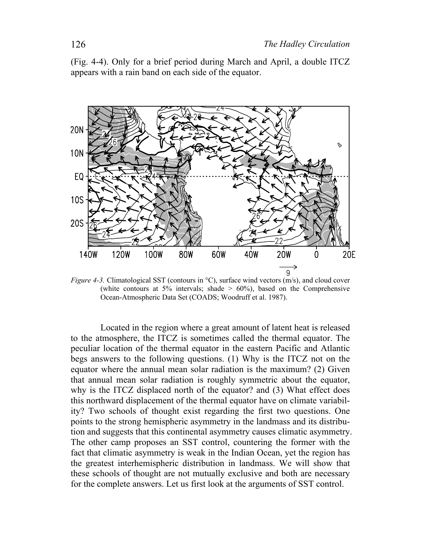(Fig. 4-4). Only for a brief period during March and April, a double ITCZ appears with a rain band on each side of the equator.



*Figure 4-3.* Climatological SST (contours in <sup>o</sup>C), surface wind vectors (m/s), and cloud cover (white contours at 5% intervals; shade  $> 60\%$ ), based on the Comprehensive Ocean-Atmospheric Data Set (COADS; Woodruff et al. 1987).

Located in the region where a great amount of latent heat is released to the atmosphere, the ITCZ is sometimes called the thermal equator. The peculiar location of the thermal equator in the eastern Pacific and Atlantic begs answers to the following questions. (1) Why is the ITCZ not on the equator where the annual mean solar radiation is the maximum? (2) Given that annual mean solar radiation is roughly symmetric about the equator, why is the ITCZ displaced north of the equator? and (3) What effect does this northward displacement of the thermal equator have on climate variability? Two schools of thought exist regarding the first two questions. One points to the strong hemispheric asymmetry in the landmass and its distribution and suggests that this continental asymmetry causes climatic asymmetry. The other camp proposes an SST control, countering the former with the fact that climatic asymmetry is weak in the Indian Ocean, yet the region has the greatest interhemispheric distribution in landmass. We will show that these schools of thought are not mutually exclusive and both are necessary for the complete answers. Let us first look at the arguments of SST control.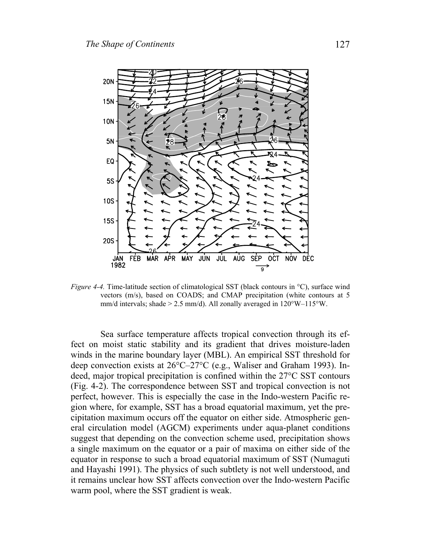

*Figure 4-4.* Time-latitude section of climatological SST (black contours in °C), surface wind vectors (m/s), based on COADS; and CMAP precipitation (white contours at 5 mm/d intervals; shade  $> 2.5$  mm/d). All zonally averaged in  $120^{\circ}$ W $-115^{\circ}$ W.

Sea surface temperature affects tropical convection through its effect on moist static stability and its gradient that drives moisture-laden winds in the marine boundary layer (MBL). An empirical SST threshold for deep convection exists at 26°C–27°C (e.g., Waliser and Graham 1993). Indeed, major tropical precipitation is confined within the 27°C SST contours (Fig. 4-2). The correspondence between SST and tropical convection is not perfect, however. This is especially the case in the Indo-western Pacific region where, for example, SST has a broad equatorial maximum, yet the precipitation maximum occurs off the equator on either side. Atmospheric general circulation model (AGCM) experiments under aqua-planet conditions suggest that depending on the convection scheme used, precipitation shows a single maximum on the equator or a pair of maxima on either side of the equator in response to such a broad equatorial maximum of SST (Numaguti and Hayashi 1991). The physics of such subtlety is not well understood, and it remains unclear how SST affects convection over the Indo-western Pacific warm pool, where the SST gradient is weak.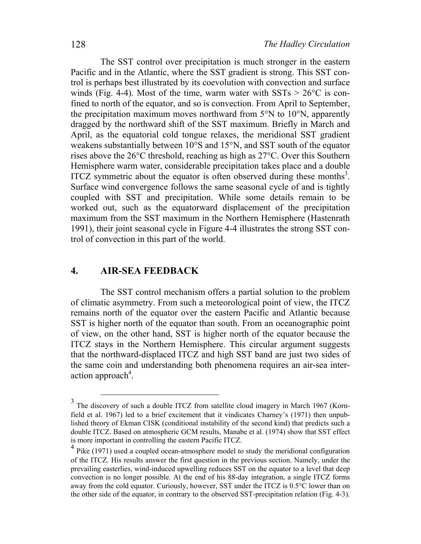The SST control over precipitation is much stronger in the eastern Pacific and in the Atlantic, where the SST gradient is strong. This SST control is perhaps best illustrated by its coevolution with convection and surface winds (Fig. 4-4). Most of the time, warm water with  $SSTs > 26^{\circ}C$  is confined to north of the equator, and so is convection. From April to September, the precipitation maximum moves northward from 5°N to 10°N, apparently dragged by the northward shift of the SST maximum. Briefly in March and April, as the equatorial cold tongue relaxes, the meridional SST gradient weakens substantially between 10°S and 15°N, and SST south of the equator rises above the 26°C threshold, reaching as high as 27°C. Over this Southern Hemisphere warm water, considerable precipitation takes place and a double ITCZ symmetric about the equator is often observed during these months<sup>3</sup>. Surface wind convergence follows the same seasonal cycle of and is tightly coupled with SST and precipitation. While some details remain to be worked out, such as the equatorward displacement of the precipitation maximum from the SST maximum in the Northern Hemisphere (Hastenrath 1991), their joint seasonal cycle in Figure 4-4 illustrates the strong SST control of convection in this part of the world.

#### **4. AIR-SEA FEEDBACK**

The SST control mechanism offers a partial solution to the problem of climatic asymmetry. From such a meteorological point of view, the ITCZ remains north of the equator over the eastern Pacific and Atlantic because SST is higher north of the equator than south. From an oceanographic point of view, on the other hand, SST is higher north of the equator because the ITCZ stays in the Northern Hemisphere. This circular argument suggests that the northward-displaced ITCZ and high SST band are just two sides of the same coin and understanding both phenomena requires an air-sea interaction approach<sup>4</sup>.

<sup>&</sup>lt;sup>3</sup> The discovery of such a double ITCZ from satellite cloud imagery in March 1967 (Kornfield et al. 1967) led to a brief excitement that it vindicates Charney's (1971) then unpublished theory of Ekman CISK (conditional instability of the second kind) that predicts such a double ITCZ. Based on atmospheric GCM results, Manabe et al. (1974) show that SST effect is more important in controlling the eastern Pacific ITCZ.

<sup>&</sup>lt;sup>4</sup> Pike (1971) used a coupled ocean-atmosphere model to study the meridional configuration of the ITCZ. His results answer the first question in the previous section. Namely, under the prevailing easterlies, wind-induced upwelling reduces SST on the equator to a level that deep convection is no longer possible. At the end of his 88-day integration, a single ITCZ forms away from the cold equator. Curiously, however, SST under the ITCZ is 0.5°C lower than on the other side of the equator, in contrary to the observed SST-precipitation relation (Fig. 4-3).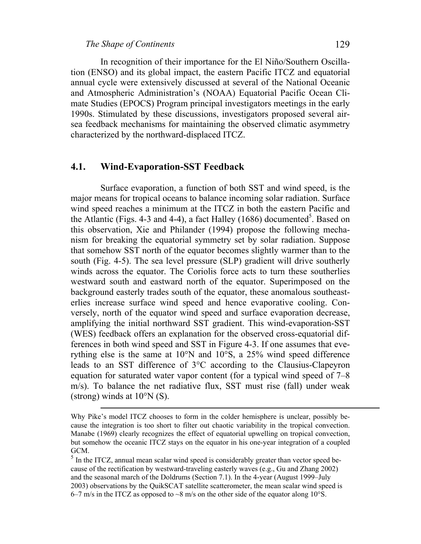In recognition of their importance for the El Niño/Southern Oscillation (ENSO) and its global impact, the eastern Pacific ITCZ and equatorial annual cycle were extensively discussed at several of the National Oceanic and Atmospheric Administration's (NOAA) Equatorial Pacific Ocean Climate Studies (EPOCS) Program principal investigators meetings in the early 1990s. Stimulated by these discussions, investigators proposed several airsea feedback mechanisms for maintaining the observed climatic asymmetry characterized by the northward-displaced ITCZ.

### **4.1. Wind-Evaporation-SST Feedback**

Surface evaporation, a function of both SST and wind speed, is the major means for tropical oceans to balance incoming solar radiation. Surface wind speed reaches a minimum at the ITCZ in both the eastern Pacific and the Atlantic (Figs. 4-3 and 4-4), a fact Halley (1686) documented<sup>5</sup>. Based on this observation, Xie and Philander (1994) propose the following mechanism for breaking the equatorial symmetry set by solar radiation. Suppose that somehow SST north of the equator becomes slightly warmer than to the south (Fig. 4-5). The sea level pressure (SLP) gradient will drive southerly winds across the equator. The Coriolis force acts to turn these southerlies westward south and eastward north of the equator. Superimposed on the background easterly trades south of the equator, these anomalous southeasterlies increase surface wind speed and hence evaporative cooling. Conversely, north of the equator wind speed and surface evaporation decrease, amplifying the initial northward SST gradient. This wind-evaporation-SST (WES) feedback offers an explanation for the observed cross-equatorial differences in both wind speed and SST in Figure 4-3. If one assumes that everything else is the same at 10°N and 10°S, a 25% wind speed difference leads to an SST difference of 3°C according to the Clausius-Clapeyron equation for saturated water vapor content (for a typical wind speed of 7–8 m/s). To balance the net radiative flux, SST must rise (fall) under weak (strong) winds at  $10^{\circ}$ N (S).

Why Pike's model ITCZ chooses to form in the colder hemisphere is unclear, possibly because the integration is too short to filter out chaotic variability in the tropical convection. Manabe (1969) clearly recognizes the effect of equatorial upwelling on tropical convection, but somehow the oceanic ITCZ stays on the equator in his one-year integration of a coupled GCM.

<sup>&</sup>lt;sup>5</sup> In the ITCZ, annual mean scalar wind speed is considerably greater than vector speed because of the rectification by westward-traveling easterly waves (e.g., Gu and Zhang 2002) and the seasonal march of the Doldrums (Section 7.1). In the 4-year (August 1999–July 2003) observations by the QuikSCAT satellite scatterometer, the mean scalar wind speed is 6–7 m/s in the ITCZ as opposed to  $\sim$ 8 m/s on the other side of the equator along 10 $\rm{^{\circ}S}$ .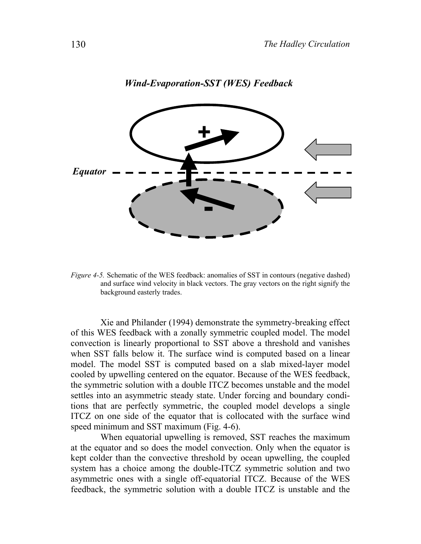

*Wind-Evaporation-SST (WES) Feedback* 

*Figure 4-5.* Schematic of the WES feedback: anomalies of SST in contours (negative dashed) and surface wind velocity in black vectors. The gray vectors on the right signify the background easterly trades.

Xie and Philander (1994) demonstrate the symmetry-breaking effect of this WES feedback with a zonally symmetric coupled model. The model convection is linearly proportional to SST above a threshold and vanishes when SST falls below it. The surface wind is computed based on a linear model. The model SST is computed based on a slab mixed-layer model cooled by upwelling centered on the equator. Because of the WES feedback, the symmetric solution with a double ITCZ becomes unstable and the model settles into an asymmetric steady state. Under forcing and boundary conditions that are perfectly symmetric, the coupled model develops a single ITCZ on one side of the equator that is collocated with the surface wind speed minimum and SST maximum (Fig. 4-6).

When equatorial upwelling is removed, SST reaches the maximum at the equator and so does the model convection. Only when the equator is kept colder than the convective threshold by ocean upwelling, the coupled system has a choice among the double-ITCZ symmetric solution and two asymmetric ones with a single off-equatorial ITCZ. Because of the WES feedback, the symmetric solution with a double ITCZ is unstable and the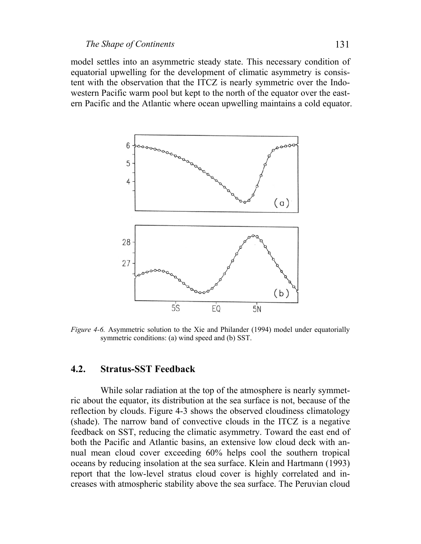model settles into an asymmetric steady state. This necessary condition of equatorial upwelling for the development of climatic asymmetry is consistent with the observation that the ITCZ is nearly symmetric over the Indowestern Pacific warm pool but kept to the north of the equator over the eastern Pacific and the Atlantic where ocean upwelling maintains a cold equator.



*Figure 4-6.* Asymmetric solution to the Xie and Philander (1994) model under equatorially symmetric conditions: (a) wind speed and (b) SST.

#### **4.2. Stratus-SST Feedback**

While solar radiation at the top of the atmosphere is nearly symmetric about the equator, its distribution at the sea surface is not, because of the reflection by clouds. Figure 4-3 shows the observed cloudiness climatology (shade). The narrow band of convective clouds in the ITCZ is a negative feedback on SST, reducing the climatic asymmetry. Toward the east end of both the Pacific and Atlantic basins, an extensive low cloud deck with annual mean cloud cover exceeding 60% helps cool the southern tropical oceans by reducing insolation at the sea surface. Klein and Hartmann (1993) report that the low-level stratus cloud cover is highly correlated and increases with atmospheric stability above the sea surface. The Peruvian cloud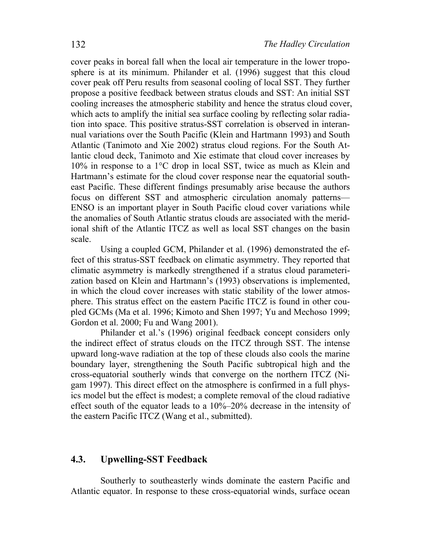cover peaks in boreal fall when the local air temperature in the lower troposphere is at its minimum. Philander et al. (1996) suggest that this cloud cover peak off Peru results from seasonal cooling of local SST. They further propose a positive feedback between stratus clouds and SST: An initial SST cooling increases the atmospheric stability and hence the stratus cloud cover, which acts to amplify the initial sea surface cooling by reflecting solar radiation into space. This positive stratus-SST correlation is observed in interannual variations over the South Pacific (Klein and Hartmann 1993) and South Atlantic (Tanimoto and Xie 2002) stratus cloud regions. For the South Atlantic cloud deck, Tanimoto and Xie estimate that cloud cover increases by 10% in response to a 1°C drop in local SST, twice as much as Klein and Hartmann's estimate for the cloud cover response near the equatorial southeast Pacific. These different findings presumably arise because the authors focus on different SST and atmospheric circulation anomaly patterns— ENSO is an important player in South Pacific cloud cover variations while the anomalies of South Atlantic stratus clouds are associated with the meridional shift of the Atlantic ITCZ as well as local SST changes on the basin scale.

Using a coupled GCM, Philander et al. (1996) demonstrated the effect of this stratus-SST feedback on climatic asymmetry. They reported that climatic asymmetry is markedly strengthened if a stratus cloud parameterization based on Klein and Hartmann's (1993) observations is implemented, in which the cloud cover increases with static stability of the lower atmosphere. This stratus effect on the eastern Pacific ITCZ is found in other coupled GCMs (Ma et al. 1996; Kimoto and Shen 1997; Yu and Mechoso 1999; Gordon et al. 2000; Fu and Wang 2001).

Philander et al.'s (1996) original feedback concept considers only the indirect effect of stratus clouds on the ITCZ through SST. The intense upward long-wave radiation at the top of these clouds also cools the marine boundary layer, strengthening the South Pacific subtropical high and the cross-equatorial southerly winds that converge on the northern ITCZ (Nigam 1997). This direct effect on the atmosphere is confirmed in a full physics model but the effect is modest; a complete removal of the cloud radiative effect south of the equator leads to a 10%–20% decrease in the intensity of the eastern Pacific ITCZ (Wang et al., submitted).

#### **4.3. Upwelling-SST Feedback**

Southerly to southeasterly winds dominate the eastern Pacific and Atlantic equator. In response to these cross-equatorial winds, surface ocean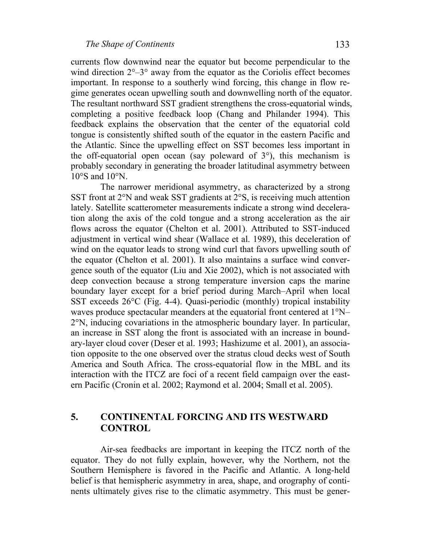currents flow downwind near the equator but become perpendicular to the wind direction  $2^{\circ}-3^{\circ}$  away from the equator as the Coriolis effect becomes important. In response to a southerly wind forcing, this change in flow regime generates ocean upwelling south and downwelling north of the equator. The resultant northward SST gradient strengthens the cross-equatorial winds, completing a positive feedback loop (Chang and Philander 1994). This feedback explains the observation that the center of the equatorial cold tongue is consistently shifted south of the equator in the eastern Pacific and the Atlantic. Since the upwelling effect on SST becomes less important in the off-equatorial open ocean (say poleward of  $3^{\circ}$ ), this mechanism is probably secondary in generating the broader latitudinal asymmetry between  $10^{\circ}$ S and  $10^{\circ}$ N.

The narrower meridional asymmetry, as characterized by a strong SST front at 2°N and weak SST gradients at 2°S, is receiving much attention lately. Satellite scatterometer measurements indicate a strong wind deceleration along the axis of the cold tongue and a strong acceleration as the air flows across the equator (Chelton et al. 2001). Attributed to SST-induced adjustment in vertical wind shear (Wallace et al. 1989), this deceleration of wind on the equator leads to strong wind curl that favors upwelling south of the equator (Chelton et al. 2001). It also maintains a surface wind convergence south of the equator (Liu and Xie 2002), which is not associated with deep convection because a strong temperature inversion caps the marine boundary layer except for a brief period during March–April when local SST exceeds 26°C (Fig. 4-4). Quasi-periodic (monthly) tropical instability waves produce spectacular meanders at the equatorial front centered at 1°N– 2°N, inducing covariations in the atmospheric boundary layer. In particular, an increase in SST along the front is associated with an increase in boundary-layer cloud cover (Deser et al. 1993; Hashizume et al. 2001), an association opposite to the one observed over the stratus cloud decks west of South America and South Africa. The cross-equatorial flow in the MBL and its interaction with the ITCZ are foci of a recent field campaign over the eastern Pacific (Cronin et al. 2002; Raymond et al. 2004; Small et al. 2005).

## **5. CONTINENTAL FORCING AND ITS WESTWARD CONTROL**

Air-sea feedbacks are important in keeping the ITCZ north of the equator. They do not fully explain, however, why the Northern, not the Southern Hemisphere is favored in the Pacific and Atlantic. A long-held belief is that hemispheric asymmetry in area, shape, and orography of continents ultimately gives rise to the climatic asymmetry. This must be gener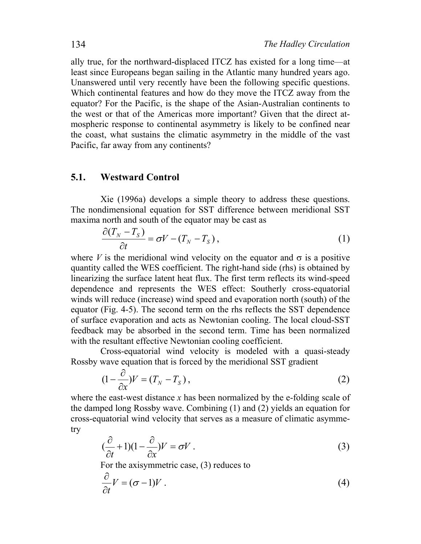ally true, for the northward-displaced ITCZ has existed for a long time—at least since Europeans began sailing in the Atlantic many hundred years ago. Unanswered until very recently have been the following specific questions. Which continental features and how do they move the ITCZ away from the equator? For the Pacific, is the shape of the Asian-Australian continents to the west or that of the Americas more important? Given that the direct atmospheric response to continental asymmetry is likely to be confined near the coast, what sustains the climatic asymmetry in the middle of the vast Pacific, far away from any continents?

#### **5.1. Westward Control**

Xie (1996a) develops a simple theory to address these questions. The nondimensional equation for SST difference between meridional SST maxima north and south of the equator may be cast as

$$
\frac{\partial (T_N - T_S)}{\partial t} = \sigma V - (T_N - T_S),\tag{1}
$$

where *V* is the meridional wind velocity on the equator and  $\sigma$  is a positive quantity called the WES coefficient. The right-hand side (rhs) is obtained by linearizing the surface latent heat flux. The first term reflects its wind-speed dependence and represents the WES effect: Southerly cross-equatorial winds will reduce (increase) wind speed and evaporation north (south) of the equator (Fig. 4-5). The second term on the rhs reflects the SST dependence of surface evaporation and acts as Newtonian cooling. The local cloud-SST feedback may be absorbed in the second term. Time has been normalized with the resultant effective Newtonian cooling coefficient.

Cross-equatorial wind velocity is modeled with a quasi-steady Rossby wave equation that is forced by the meridional SST gradient

$$
(1 - \frac{\partial}{\partial x})V = (T_N - T_S),
$$
\n(2)

where the east-west distance *x* has been normalized by the e-folding scale of the damped long Rossby wave. Combining (1) and (2) yields an equation for cross-equatorial wind velocity that serves as a measure of climatic asymmetry

$$
(\frac{\partial}{\partial t} + 1)(1 - \frac{\partial}{\partial x})V = \sigma V.
$$
\n(3)

For the axisymmetric case, (3) reduces to

$$
\frac{\partial}{\partial t}V = (\sigma - 1)V \tag{4}
$$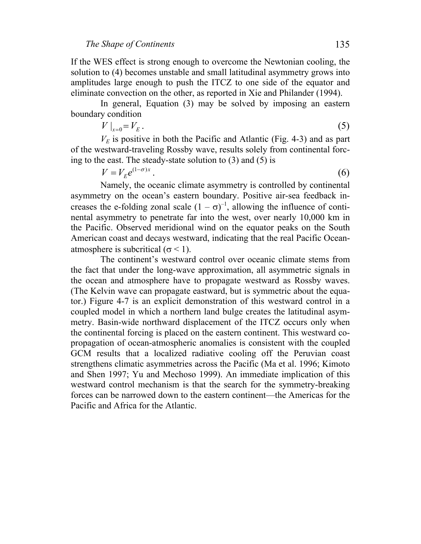If the WES effect is strong enough to overcome the Newtonian cooling, the solution to (4) becomes unstable and small latitudinal asymmetry grows into amplitudes large enough to push the ITCZ to one side of the equator and eliminate convection on the other, as reported in Xie and Philander (1994).

In general, Equation (3) may be solved by imposing an eastern boundary condition

$$
V\big|_{x=0} = V_E \,. \tag{5}
$$

 $V_E$  is positive in both the Pacific and Atlantic (Fig. 4-3) and as part of the westward-traveling Rossby wave, results solely from continental forcing to the east. The steady-state solution to (3) and (5) is

$$
V = V_E e^{(1-\sigma)x} \tag{6}
$$

Namely, the oceanic climate asymmetry is controlled by continental asymmetry on the ocean's eastern boundary. Positive air-sea feedback increases the e-folding zonal scale  $(1 - \sigma)^{-1}$ , allowing the influence of continental asymmetry to penetrate far into the west, over nearly 10,000 km in the Pacific. Observed meridional wind on the equator peaks on the South American coast and decays westward, indicating that the real Pacific Oceanatmosphere is subcritical ( $\sigma$  < 1).

The continent's westward control over oceanic climate stems from the fact that under the long-wave approximation, all asymmetric signals in the ocean and atmosphere have to propagate westward as Rossby waves. (The Kelvin wave can propagate eastward, but is symmetric about the equator.) Figure 4-7 is an explicit demonstration of this westward control in a coupled model in which a northern land bulge creates the latitudinal asymmetry. Basin-wide northward displacement of the ITCZ occurs only when the continental forcing is placed on the eastern continent. This westward copropagation of ocean-atmospheric anomalies is consistent with the coupled GCM results that a localized radiative cooling off the Peruvian coast strengthens climatic asymmetries across the Pacific (Ma et al. 1996; Kimoto and Shen 1997; Yu and Mechoso 1999). An immediate implication of this westward control mechanism is that the search for the symmetry-breaking forces can be narrowed down to the eastern continent—the Americas for the Pacific and Africa for the Atlantic.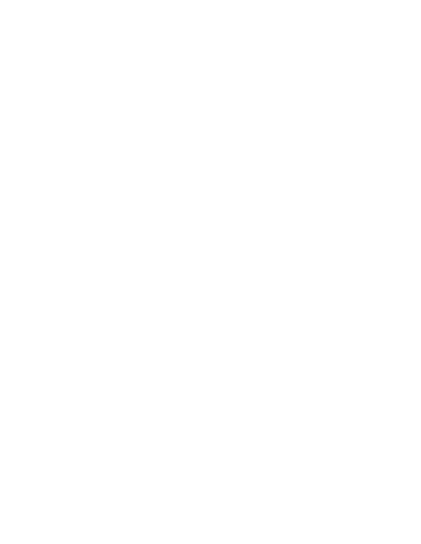# Chapter 4

# THE SHAPE OF CONTINENTS, AIR-SEA **INTERACTION, AND THE RISING BRANCH OF** THE HADLEY CIRCULATION

Shang-Ping Xie

International Pacific Research Center and Department of Meteorology, University of Hawaii, Honolulu, Hawaii 96822, U.S.A. xie@hawaii.edu

This chapter begins with a brief history of Intertropical Convergence Abstract Zone (ITCZ) research. It then goes on to summarize recent progress in understanding why the ITCZ is locked in the Northern Hemisphere in the eastern Pacific and Atlantic Oceans, and how this northward-displaced ITCZ affects the space-time structure of tropical climate variability.

#### $1<sub>1</sub>$ **INTRODUCTION**

The differential solar radiation in the meridional direction is the ultimate drive for the global Hadley circulation, dictating that its rising branch and heavy rainfall should be located near the equator. This solar forcing of the atmosphere is indirect, however, since most absorption of solar radiation takes place at the surface of earth. Over the tropical oceans, most of the absorbed solar energy is used for surface evaporation and the resultant water vapor is gathered by winds to fuel deep convection that is organized into zonally oriented rain bands. The ocean's effect on tropical convection and hence the rising branch of the Hadley circulation is obvious; tropical rain belts are anchored on the warmest waters, with spatial patterns that can